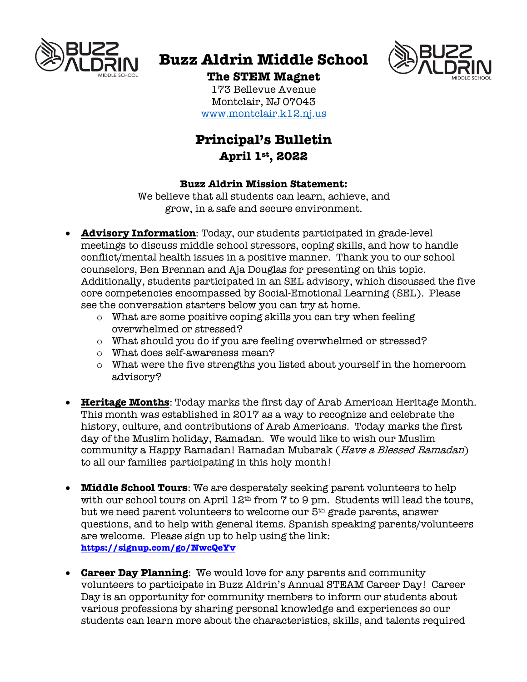

# **Buzz Aldrin Middle School**



# **The STEM Magnet**

173 Bellevue Avenue Montclair, NJ 07043 www.montclair.k12.nj.us

# **Principal's Bulletin April 1st, 2022**

#### **Buzz Aldrin Mission Statement:**

We believe that all students can learn, achieve, and grow, in a safe and secure environment.

- **Advisory Information**: Today, our students participated in grade-level meetings to discuss middle school stressors, coping skills, and how to handle conflict/mental health issues in a positive manner. Thank you to our school counselors, Ben Brennan and Aja Douglas for presenting on this topic. Additionally, students participated in an SEL advisory, which discussed the five core competencies encompassed by Social-Emotional Learning (SEL). Please see the conversation starters below you can try at home.
	- o What are some positive coping skills you can try when feeling overwhelmed or stressed?
	- o What should you do if you are feeling overwhelmed or stressed?
	- o What does self-awareness mean?
	- o What were the five strengths you listed about yourself in the homeroom advisory?
- **Heritage Months**: Today marks the first day of Arab American Heritage Month. This month was established in 2017 as a way to recognize and celebrate the history, culture, and contributions of Arab Americans. Today marks the first day of the Muslim holiday, Ramadan. We would like to wish our Muslim community a Happy Ramadan! Ramadan Mubarak (Have a Blessed Ramadan) to all our families participating in this holy month!
- **Middle School Tours**: We are desperately seeking parent volunteers to help with our school tours on April 12<sup>th</sup> from 7 to 9 pm. Students will lead the tours, but we need parent volunteers to welcome our 5th grade parents, answer questions, and to help with general items. Spanish speaking parents/volunteers are welcome. Please sign up to help using the link: **https://signup.com/go/NwcQeYv**
- **Career Day Planning**: We would love for any parents and community volunteers to participate in Buzz Aldrin's Annual STEAM Career Day! Career Day is an opportunity for community members to inform our students about various professions by sharing personal knowledge and experiences so our students can learn more about the characteristics, skills, and talents required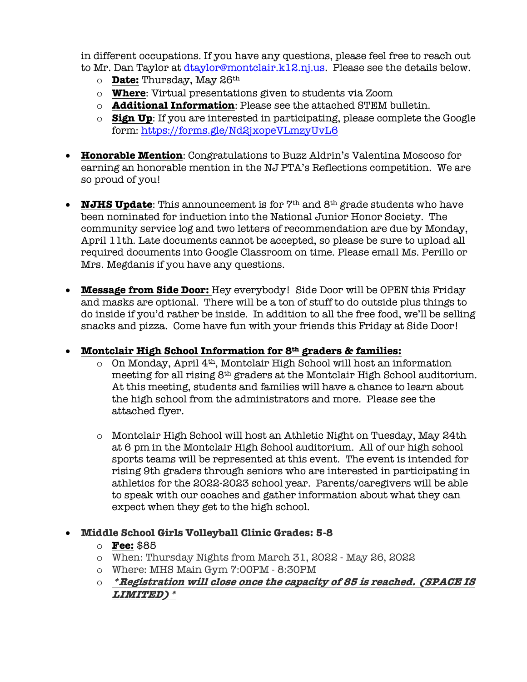in different occupations. If you have any questions, please feel free to reach out to Mr. Dan Taylor at dtaylor@montclair.k12.nj.us. Please see the details below.

- o **Date:** Thursday, May 26th
- o **Where**: Virtual presentations given to students via Zoom
- o **Additional Information**: Please see the attached STEM bulletin.
- o **Sign Up**: If you are interested in participating, please complete the Google form: https://forms.gle/Nd2jxopeVLmzyUvL6
- **Honorable Mention**: Congratulations to Buzz Aldrin's Valentina Moscoso for earning an honorable mention in the NJ PTA's Reflections competition. We are so proud of you!
- **NJHS Update**: This announcement is for  $7<sup>th</sup>$  and  $8<sup>th</sup>$  grade students who have been nominated for induction into the National Junior Honor Society. The community service log and two letters of recommendation are due by Monday, April 11th. Late documents cannot be accepted, so please be sure to upload all required documents into Google Classroom on time. Please email Ms. Perillo or Mrs. Megdanis if you have any questions.
- **Message from Side Door:** Hey everybody! Side Door will be OPEN this Friday and masks are optional. There will be a ton of stuff to do outside plus things to do inside if you'd rather be inside. In addition to all the free food, we'll be selling snacks and pizza. Come have fun with your friends this Friday at Side Door!

## • **Montclair High School Information for 8th graders & families:**

- $\circ$  On Monday, April 4<sup>th</sup>, Montclair High School will host an information meeting for all rising 8th graders at the Montclair High School auditorium. At this meeting, students and families will have a chance to learn about the high school from the administrators and more. Please see the attached flyer.
- o Montclair High School will host an Athletic Night on Tuesday, May 24th at 6 pm in the Montclair High School auditorium. All of our high school sports teams will be represented at this event. The event is intended for rising 9th graders through seniors who are interested in participating in athletics for the 2022-2023 school year. Parents/caregivers will be able to speak with our coaches and gather information about what they can expect when they get to the high school.

## • **Middle School Girls Volleyball Clinic Grades: 5-8**

#### o **Fee:** \$85

- o When: Thursday Nights from March 31, 2022 May 26, 2022
- o Where: MHS Main Gym 7:00PM 8:30PM
- o **\*Registration will close once the capacity of 85 is reached. (SPACE IS LIMITED)\***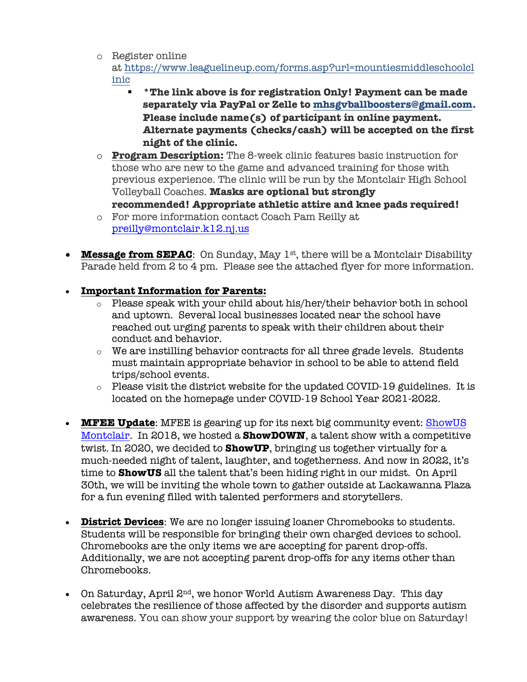o Register online

at https://www.leaguelineup.com/forms.asp?url=mountiesmiddleschoolcl inic

- § **\*The link above is for registration Only! Payment can be made separately via PayPal or Zelle to mhsgvballboosters@gmail.com. Please include name(s) of participant in online payment. Alternate payments (checks/cash) will be accepted on the first night of the clinic.**
- o **Program Description:** The 8-week clinic features basic instruction for those who are new to the game and advanced training for those with previous experience. The clinic will be run by the Montclair High School Volleyball Coaches. **Masks are optional but strongly recommended! Appropriate athletic attire and knee pads required!**
- o For more information contact Coach Pam Reilly at preilly@montclair.k12.nj.us
- **Message from SEPAC**: On Sunday, May 1<sup>st</sup>, there will be a Montclair Disability Parade held from 2 to 4 pm. Please see the attached flyer for more information.

# • **Important Information for Parents:**

- o Please speak with your child about his/her/their behavior both in school and uptown. Several local businesses located near the school have reached out urging parents to speak with their children about their conduct and behavior.
- o We are instilling behavior contracts for all three grade levels. Students must maintain appropriate behavior in school to be able to attend field trips/school events.
- $\circ$  Please visit the district website for the updated COVID-19 guidelines. It is located on the homepage under COVID-19 School Year 2021-2022.
- **MFEE Update**: MFEE is gearing up for its next big community event: ShowUS Montclair. In 2018, we hosted a **ShowDOWN**, a talent show with a competitive twist. In 2020, we decided to **ShowUP**, bringing us together virtually for a much-needed night of talent, laughter, and togetherness. And now in 2022, it's time to **ShowUS** all the talent that's been hiding right in our midst. On April 30th, we will be inviting the whole town to gather outside at Lackawanna Plaza for a fun evening filled with talented performers and storytellers.
- **District Devices**: We are no longer issuing loaner Chromebooks to students. Students will be responsible for bringing their own charged devices to school. Chromebooks are the only items we are accepting for parent drop-offs. Additionally, we are not accepting parent drop-offs for any items other than Chromebooks.
- On Saturday, April  $2<sup>nd</sup>$ , we honor World Autism Awareness Day. This day celebrates the resilience of those affected by the disorder and supports autism awareness. You can show your support by wearing the color blue on Saturday!